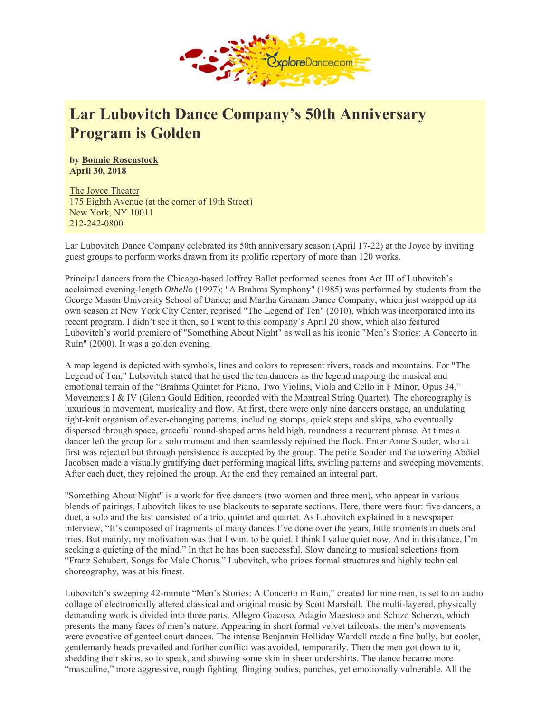

## **Lar Lubovitch Dance Company's 50th Anniversary Program is Golden**

**by Bonnie Rosenstock April 30, 2018** 

The Joyce Theater 175 Eighth Avenue (at the corner of 19th Street) New York, NY 10011 212-242-0800

Lar Lubovitch Dance Company celebrated its 50th anniversary season (April 17-22) at the Joyce by inviting guest groups to perform works drawn from its prolific repertory of more than 120 works.

Principal dancers from the Chicago-based Joffrey Ballet performed scenes from Act III of Lubovitch's acclaimed evening-length *Othello* (1997); "A Brahms Symphony" (1985) was performed by students from the George Mason University School of Dance; and Martha Graham Dance Company, which just wrapped up its own season at New York City Center, reprised "The Legend of Ten" (2010), which was incorporated into its recent program. I didn't see it then, so I went to this company's April 20 show, which also featured Lubovitch's world premiere of "Something About Night" as well as his iconic "Men's Stories: A Concerto in Ruin" (2000). It was a golden evening.

A map legend is depicted with symbols, lines and colors to represent rivers, roads and mountains. For "The Legend of Ten," Lubovitch stated that he used the ten dancers as the legend mapping the musical and emotional terrain of the "Brahms Quintet for Piano, Two Violins, Viola and Cello in F Minor, Opus 34," Movements I & IV (Glenn Gould Edition, recorded with the Montreal String Quartet). The choreography is luxurious in movement, musicality and flow. At first, there were only nine dancers onstage, an undulating tight-knit organism of ever-changing patterns, including stomps, quick steps and skips, who eventually dispersed through space, graceful round-shaped arms held high, roundness a recurrent phrase. At times a dancer left the group for a solo moment and then seamlessly rejoined the flock. Enter Anne Souder, who at first was rejected but through persistence is accepted by the group. The petite Souder and the towering Abdiel Jacobsen made a visually gratifying duet performing magical lifts, swirling patterns and sweeping movements. After each duet, they rejoined the group. At the end they remained an integral part.

"Something About Night" is a work for five dancers (two women and three men), who appear in various blends of pairings. Lubovitch likes to use blackouts to separate sections. Here, there were four: five dancers, a duet, a solo and the last consisted of a trio, quintet and quartet. As Lubovitch explained in a newspaper interview, "It's composed of fragments of many dances I've done over the years, little moments in duets and trios. But mainly, my motivation was that I want to be quiet. I think I value quiet now. And in this dance, I'm seeking a quieting of the mind." In that he has been successful. Slow dancing to musical selections from "Franz Schubert, Songs for Male Chorus." Lubovitch, who prizes formal structures and highly technical choreography, was at his finest.

Lubovitch's sweeping 42-minute "Men's Stories: A Concerto in Ruin," created for nine men, is set to an audio collage of electronically altered classical and original music by Scott Marshall. The multi-layered, physically demanding work is divided into three parts, Allegro Giacoso, Adagio Maestoso and Schizo Scherzo, which presents the many faces of men's nature. Appearing in short formal velvet tailcoats, the men's movements were evocative of genteel court dances. The intense Benjamin Holliday Wardell made a fine bully, but cooler, gentlemanly heads prevailed and further conflict was avoided, temporarily. Then the men got down to it, shedding their skins, so to speak, and showing some skin in sheer undershirts. The dance became more "masculine," more aggressive, rough fighting, flinging bodies, punches, yet emotionally vulnerable. All the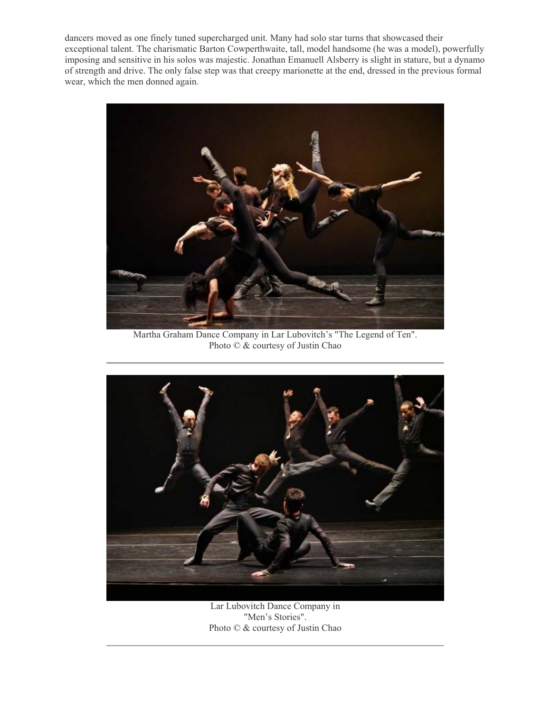dancers moved as one finely tuned supercharged unit. Many had solo star turns that showcased their exceptional talent. The charismatic Barton Cowperthwaite, tall, model handsome (he was a model), powerfully imposing and sensitive in his solos was majestic. Jonathan Emanuell Alsberry is slight in stature, but a dynamo of strength and drive. The only false step was that creepy marionette at the end, dressed in the previous formal wear, which the men donned again.



Martha Graham Dance Company in Lar Lubovitch's "The Legend of Ten". Photo © & courtesy of Justin Chao



Lar Lubovitch Dance Company in "Men's Stories". Photo © & courtesy of Justin Chao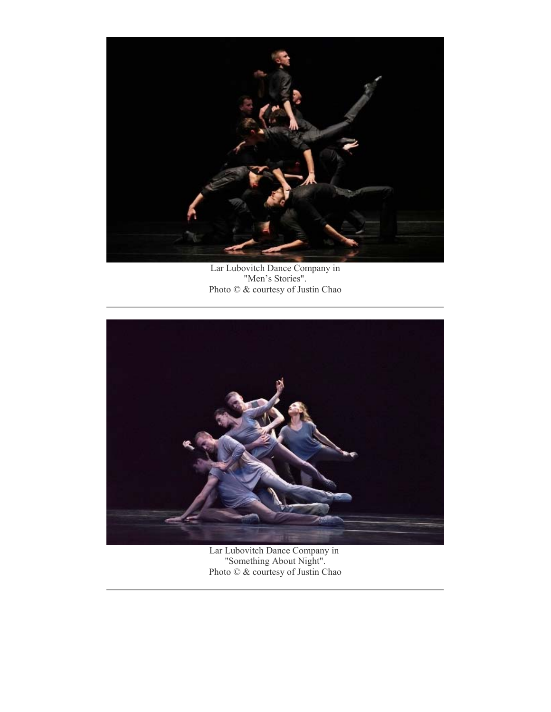

Lar Lubovitch Dance Company in "Men's Stories". Photo © & courtesy of Justin Chao



Lar Lubovitch Dance Company in "Something About Night". Photo © & courtesy of Justin Chao